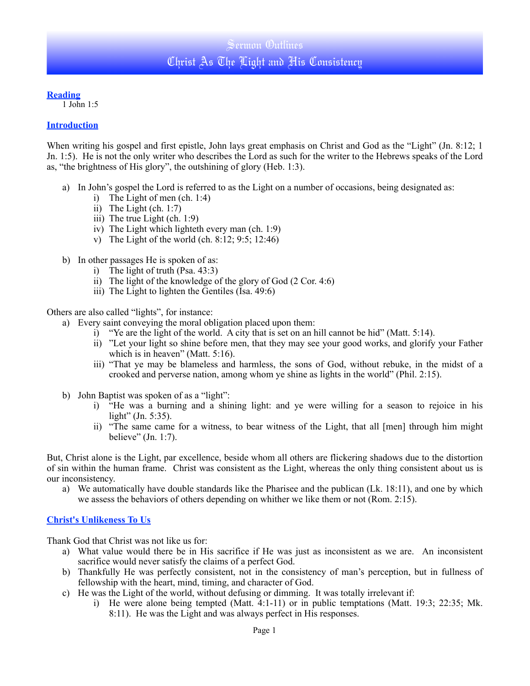### **Reading**

1 John 1:5

### **Introduction**

When writing his gospel and first epistle, John lays great emphasis on Christ and God as the "Light" (Jn. 8:12; 1 Jn. 1:5). He is not the only writer who describes the Lord as such for the writer to the Hebrews speaks of the Lord as, "the brightness of His glory", the outshining of glory (Heb. 1:3).

- a) In John's gospel the Lord is referred to as the Light on a number of occasions, being designated as:
	- i) The Light of men (ch. 1:4)
	- ii) The Light (ch. 1:7)
	- iii) The true Light (ch. 1:9)
	- iv) The Light which lighteth every man (ch. 1:9)
	- v) The Light of the world (ch. 8:12; 9:5; 12:46)
- b) In other passages He is spoken of as:
	- i) The light of truth (Psa. 43:3)
	- ii) The light of the knowledge of the glory of God (2 Cor. 4:6)
	- iii) The Light to lighten the Gentiles (Isa. 49:6)

Others are also called "lights", for instance:

- a) Every saint conveying the moral obligation placed upon them:
	- i) "Ye are the light of the world. A city that is set on an hill cannot be hid" (Matt. 5:14).
	- ii) "Let your light so shine before men, that they may see your good works, and glorify your Father which is in heaven" (Matt. 5:16).
	- iii) "That ye may be blameless and harmless, the sons of God, without rebuke, in the midst of a crooked and perverse nation, among whom ye shine as lights in the world" (Phil. 2:15).
- b) John Baptist was spoken of as a "light":
	- i) "He was a burning and a shining light: and ye were willing for a season to rejoice in his light" (Jn. 5:35).
	- ii) "The same came for a witness, to bear witness of the Light, that all [men] through him might believe" (Jn. 1:7).

But, Christ alone is the Light, par excellence, beside whom all others are flickering shadows due to the distortion of sin within the human frame. Christ was consistent as the Light, whereas the only thing consistent about us is our inconsistency.

a) We automatically have double standards like the Pharisee and the publican (Lk. 18:11), and one by which we assess the behaviors of others depending on whither we like them or not (Rom. 2:15).

## **Christ's Unlikeness To Us**

Thank God that Christ was not like us for:

- a) What value would there be in His sacrifice if He was just as inconsistent as we are. An inconsistent sacrifice would never satisfy the claims of a perfect God.
- b) Thankfully He was perfectly consistent, not in the consistency of man's perception, but in fullness of fellowship with the heart, mind, timing, and character of God.
- c) He was the Light of the world, without defusing or dimming. It was totally irrelevant if:
	- i) He were alone being tempted (Matt. 4:1-11) or in public temptations (Matt. 19:3; 22:35; Mk. 8:11). He was the Light and was always perfect in His responses.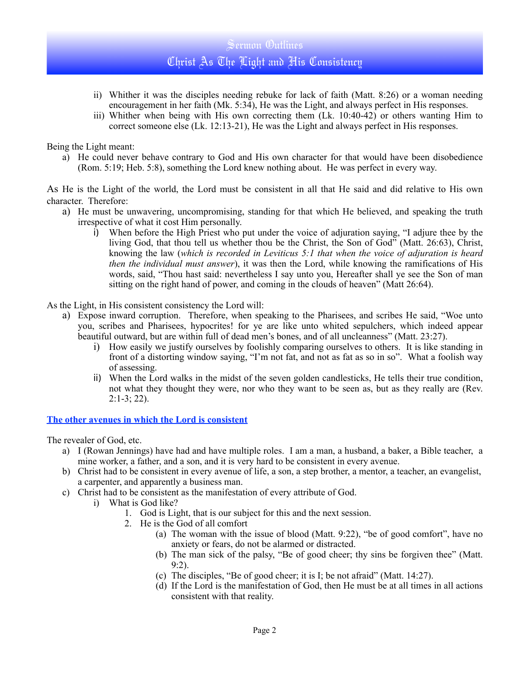# Sermon Outlines Christ As The Light and His Consistency

- ii) Whither it was the disciples needing rebuke for lack of faith (Matt. 8:26) or a woman needing encouragement in her faith (Mk. 5:34), He was the Light, and always perfect in His responses.
- iii) Whither when being with His own correcting them (Lk. 10:40-42) or others wanting Him to correct someone else (Lk. 12:13-21), He was the Light and always perfect in His responses.

Being the Light meant:

a) He could never behave contrary to God and His own character for that would have been disobedience (Rom. 5:19; Heb. 5:8), something the Lord knew nothing about. He was perfect in every way.

As He is the Light of the world, the Lord must be consistent in all that He said and did relative to His own character. Therefore:

- a) He must be unwavering, uncompromising, standing for that which He believed, and speaking the truth irrespective of what it cost Him personally.
	- i) When before the High Priest who put under the voice of adjuration saying, "I adjure thee by the living God, that thou tell us whether thou be the Christ, the Son of God" (Matt. 26:63), Christ, knowing the law (*which is recorded in Leviticus 5:1 that when the voice of adjuration is heard then the individual must answer*), it was then the Lord, while knowing the ramifications of His words, said, "Thou hast said: nevertheless I say unto you, Hereafter shall ye see the Son of man sitting on the right hand of power, and coming in the clouds of heaven" (Matt 26:64).

As the Light, in His consistent consistency the Lord will:

- a) Expose inward corruption. Therefore, when speaking to the Pharisees, and scribes He said, "Woe unto you, scribes and Pharisees, hypocrites! for ye are like unto whited sepulchers, which indeed appear beautiful outward, but are within full of dead men's bones, and of all uncleanness" (Matt. 23:27).
	- i) How easily we justify ourselves by foolishly comparing ourselves to others. It is like standing in front of a distorting window saying, "I'm not fat, and not as fat as so in so". What a foolish way of assessing.
	- ii) When the Lord walks in the midst of the seven golden candlesticks, He tells their true condition, not what they thought they were, nor who they want to be seen as, but as they really are (Rev. 2:1-3; 22).

**The other avenues in which the Lord is consistent**

The revealer of God, etc.

- a) I (Rowan Jennings) have had and have multiple roles. I am a man, a husband, a baker, a Bible teacher, a mine worker, a father, and a son, and it is very hard to be consistent in every avenue.
- b) Christ had to be consistent in every avenue of life, a son, a step brother, a mentor, a teacher, an evangelist, a carpenter, and apparently a business man.
- c) Christ had to be consistent as the manifestation of every attribute of God.
	- i) What is God like?
		- 1. God is Light, that is our subject for this and the next session.
		- 2. He is the God of all comfort
			- (a) The woman with the issue of blood (Matt. 9:22), "be of good comfort", have no anxiety or fears, do not be alarmed or distracted.
			- (b) The man sick of the palsy, "Be of good cheer; thy sins be forgiven thee" (Matt. 9:2).
			- (c) The disciples, "Be of good cheer; it is I; be not afraid" (Matt. 14:27).
			- (d) If the Lord is the manifestation of God, then He must be at all times in all actions consistent with that reality.